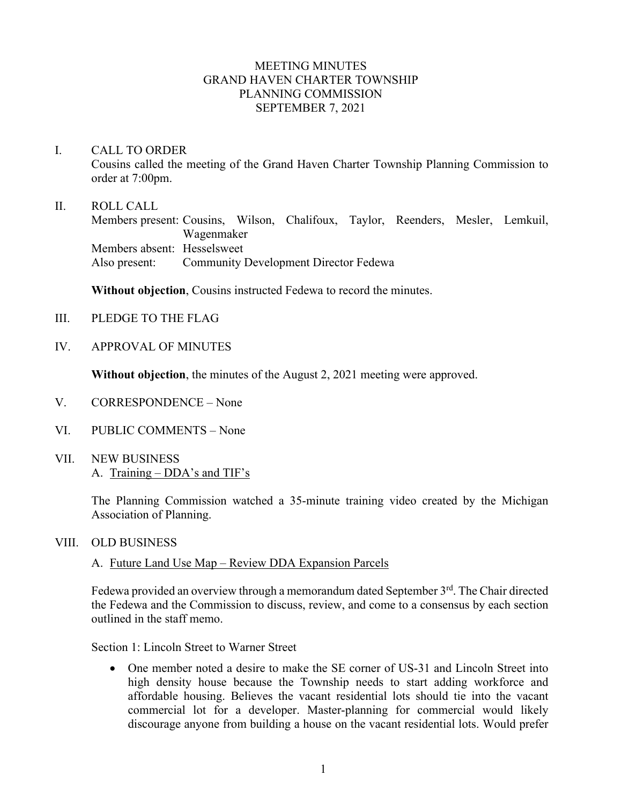#### MEETING MINUTES GRAND HAVEN CHARTER TOWNSHIP PLANNING COMMISSION SEPTEMBER 7, 2021

### I. CALL TO ORDER

Cousins called the meeting of the Grand Haven Charter Township Planning Commission to order at 7:00pm.

#### II. ROLL CALL

Members present: Cousins, Wilson, Chalifoux, Taylor, Reenders, Mesler, Lemkuil, Wagenmaker Members absent: Hesselsweet Also present: Community Development Director Fedewa

**Without objection**, Cousins instructed Fedewa to record the minutes.

- III. PLEDGE TO THE FLAG
- IV. APPROVAL OF MINUTES

**Without objection**, the minutes of the August 2, 2021 meeting were approved.

- V. CORRESPONDENCE None
- VI. PUBLIC COMMENTS None
- VII. NEW BUSINESS A. Training – DDA's and TIF's

The Planning Commission watched a 35-minute training video created by the Michigan Association of Planning.

#### VIII. OLD BUSINESS

## A. Future Land Use Map – Review DDA Expansion Parcels

Fedewa provided an overview through a memorandum dated September 3rd. The Chair directed the Fedewa and the Commission to discuss, review, and come to a consensus by each section outlined in the staff memo.

Section 1: Lincoln Street to Warner Street

• One member noted a desire to make the SE corner of US-31 and Lincoln Street into high density house because the Township needs to start adding workforce and affordable housing. Believes the vacant residential lots should tie into the vacant commercial lot for a developer. Master-planning for commercial would likely discourage anyone from building a house on the vacant residential lots. Would prefer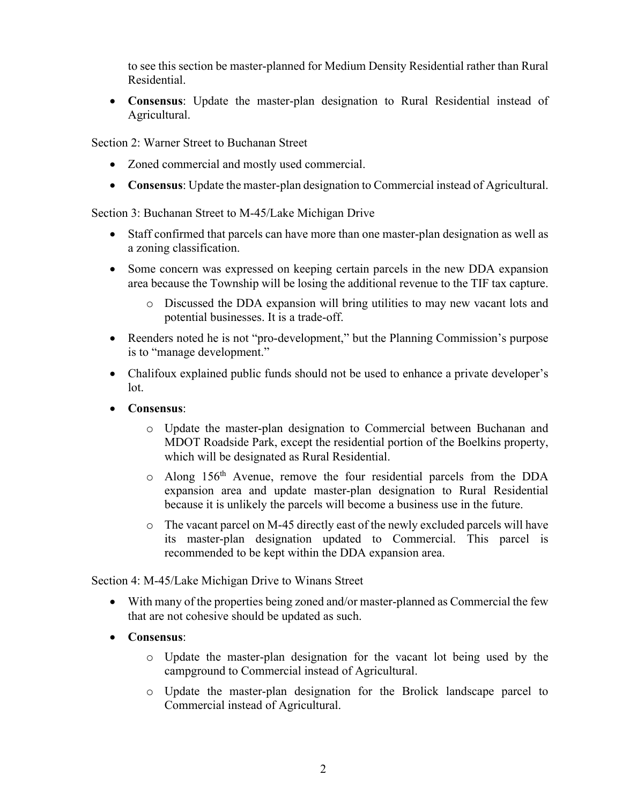to see this section be master-planned for Medium Density Residential rather than Rural Residential.

• **Consensus**: Update the master-plan designation to Rural Residential instead of Agricultural.

Section 2: Warner Street to Buchanan Street

- Zoned commercial and mostly used commercial.
- **Consensus**: Update the master-plan designation to Commercial instead of Agricultural.

Section 3: Buchanan Street to M-45/Lake Michigan Drive

- Staff confirmed that parcels can have more than one master-plan designation as well as a zoning classification.
- Some concern was expressed on keeping certain parcels in the new DDA expansion area because the Township will be losing the additional revenue to the TIF tax capture.
	- o Discussed the DDA expansion will bring utilities to may new vacant lots and potential businesses. It is a trade-off.
- Reenders noted he is not "pro-development," but the Planning Commission's purpose is to "manage development."
- Chalifoux explained public funds should not be used to enhance a private developer's lot.
- **Consensus**:
	- o Update the master-plan designation to Commercial between Buchanan and MDOT Roadside Park, except the residential portion of the Boelkins property, which will be designated as Rural Residential.
	- o Along 156th Avenue, remove the four residential parcels from the DDA expansion area and update master-plan designation to Rural Residential because it is unlikely the parcels will become a business use in the future.
	- o The vacant parcel on M-45 directly east of the newly excluded parcels will have its master-plan designation updated to Commercial. This parcel is recommended to be kept within the DDA expansion area.

Section 4: M-45/Lake Michigan Drive to Winans Street

- With many of the properties being zoned and/or master-planned as Commercial the few that are not cohesive should be updated as such.
- **Consensus**:
	- o Update the master-plan designation for the vacant lot being used by the campground to Commercial instead of Agricultural.
	- o Update the master-plan designation for the Brolick landscape parcel to Commercial instead of Agricultural.